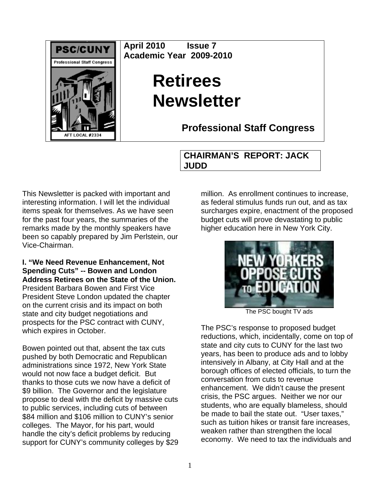

**April 2010 Issue 7 Academic Year 2009-2010** 

## **Retirees Newsletter**

**Professional Staff Congress**

## **CHAIRMAN'S REPORT: JACK JUDD**

This Newsletter is packed with important and interesting information. I will let the individual items speak for themselves. As we have seen for the past four years, the summaries of the remarks made by the monthly speakers have been so capably prepared by Jim Perlstein, our Vice-Chairman.

**I. "We Need Revenue Enhancement, Not Spending Cuts" -- Bowen and London Address Retirees on the State of the Union.**  President Barbara Bowen and First Vice President Steve London updated the chapter on the current crisis and its impact on both state and city budget negotiations and prospects for the PSC contract with CUNY, which expires in October.

Bowen pointed out that, absent the tax cuts pushed by both Democratic and Republican administrations since 1972, New York State would not now face a budget deficit. But thanks to those cuts we now have a deficit of \$9 billion. The Governor and the legislature propose to deal with the deficit by massive cuts to public services, including cuts of between \$84 million and \$106 million to CUNY's senior colleges. The Mayor, for his part, would handle the city's deficit problems by reducing support for CUNY's community colleges by \$29 million. As enrollment continues to increase. as federal stimulus funds run out, and as tax surcharges expire, enactment of the proposed budget cuts will prove devastating to public higher education here in New York City.



The PSC bought TV ads

The PSC's response to proposed budget reductions, which, incidentally, come on top of state and city cuts to CUNY for the last two years, has been to produce ads and to lobby intensively in Albany, at City Hall and at the borough offices of elected officials, to turn the conversation from cuts to revenue enhancement. We didn't cause the present crisis, the PSC argues. Neither we nor our students, who are equally blameless, should be made to bail the state out. "User taxes," such as tuition hikes or transit fare increases, weaken rather than strengthen the local economy. We need to tax the individuals and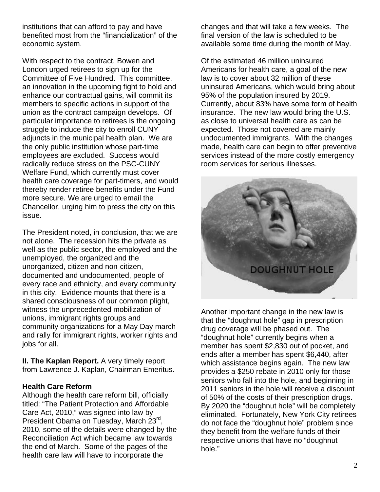institutions that can afford to pay and have benefited most from the "financialization" of the economic system.

With respect to the contract, Bowen and London urged retirees to sign up for the Committee of Five Hundred. This committee, an innovation in the upcoming fight to hold and enhance our contractual gains, will commit its members to specific actions in support of the union as the contract campaign develops. Of particular importance to retirees is the ongoing struggle to induce the city to enroll CUNY adjuncts in the municipal health plan. We are the only public institution whose part-time employees are excluded. Success would radically reduce stress on the PSC-CUNY Welfare Fund, which currently must cover health care coverage for part-timers, and would thereby render retiree benefits under the Fund more secure. We are urged to email the Chancellor, urging him to press the city on this issue.

The President noted, in conclusion, that we are not alone. The recession hits the private as well as the public sector, the employed and the unemployed, the organized and the unorganized, citizen and non-citizen, documented and undocumented, people of every race and ethnicity, and every community in this city. Evidence mounts that there is a shared consciousness of our common plight, witness the unprecedented mobilization of unions, immigrant rights groups and community organizations for a May Day march and rally for immigrant rights, worker rights and jobs for all.

**II. The Kaplan Report.** A very timely report from Lawrence J. Kaplan, Chairman Emeritus.

## **Health Care Reform**

Although the health care reform bill, officially titled: "The Patient Protection and Affordable Care Act, 2010," was signed into law by President Obama on Tuesday, March 23rd, 2010, some of the details were changed by the Reconciliation Act which became law towards the end of March. Some of the pages of the health care law will have to incorporate the

changes and that will take a few weeks. The final version of the law is scheduled to be available some time during the month of May.

Of the estimated 46 million uninsured Americans for health care, a goal of the new law is to cover about 32 million of these uninsured Americans, which would bring about 95% of the population insured by 2019. Currently, about 83% have some form of health insurance. The new law would bring the U.S. as close to universal health care as can be expected. Those not covered are mainly undocumented immigrants. With the changes made, health care can begin to offer preventive services instead of the more costly emergency room services for serious illnesses.



Another important change in the new law is that the "doughnut hole" gap in prescription drug coverage will be phased out. The "doughnut hole" currently begins when a member has spent \$2,830 out of pocket, and ends after a member has spent \$6,440, after which assistance begins again. The new law provides a \$250 rebate in 2010 only for those seniors who fall into the hole, and beginning in 2011 seniors in the hole will receive a discount of 50% of the costs of their prescription drugs. By 2020 the "doughnut hole" will be completely eliminated. Fortunately, New York City retirees do not face the "doughnut hole" problem since they benefit from the welfare funds of their respective unions that have no "doughnut hole."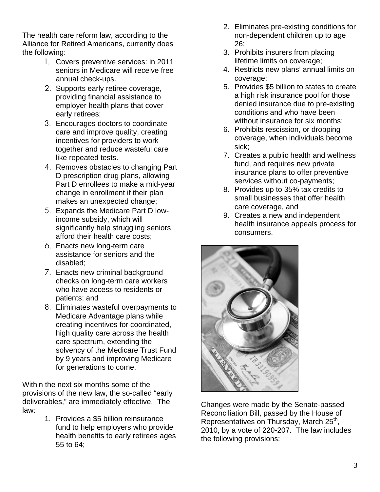The health care reform law, according to the Alliance for Retired Americans, currently does the following:

- 1. Covers preventive services: in 2011 seniors in Medicare will receive free annual check-ups.
- 2. Supports early retiree coverage, providing financial assistance to employer health plans that cover early retirees;
- 3. Encourages doctors to coordinate care and improve quality, creating incentives for providers to work together and reduce wasteful care like repeated tests.
- 4. Removes obstacles to changing Part D prescription drug plans, allowing Part D enrollees to make a mid-year change in enrollment if their plan makes an unexpected change;
- 5. Expands the Medicare Part D lowincome subsidy, which will significantly help struggling seniors afford their health care costs;
- 6. Enacts new long-term care assistance for seniors and the disabled;
- 7. Enacts new criminal background checks on long-term care workers who have access to residents or patients; and
- 8. Eliminates wasteful overpayments to Medicare Advantage plans while creating incentives for coordinated, high quality care across the health care spectrum, extending the solvency of the Medicare Trust Fund by 9 years and improving Medicare for generations to come.

Within the next six months some of the provisions of the new law, the so-called "early deliverables," are immediately effective. The law:

1. Provides a \$5 billion reinsurance fund to help employers who provide health benefits to early retirees ages 55 to 64;

- 2. Eliminates pre-existing conditions for non-dependent children up to age 26;
- 3. Prohibits insurers from placing lifetime limits on coverage;
- 4. Restricts new plans' annual limits on coverage;
- 5. Provides \$5 billion to states to create a high risk insurance pool for those denied insurance due to pre-existing conditions and who have been without insurance for six months;
- 6. Prohibits rescission, or dropping coverage, when individuals become sick;
- 7. Creates a public health and wellness fund, and requires new private insurance plans to offer preventive services without co-payments;
- 8. Provides up to 35% tax credits to small businesses that offer health care coverage, and
- 9. Creates a new and independent health insurance appeals process for consumers.



Changes were made by the Senate-passed Reconciliation Bill, passed by the House of Representatives on Thursday, March 25<sup>th</sup>, 2010, by a vote of 220-207. The law includes the following provisions: